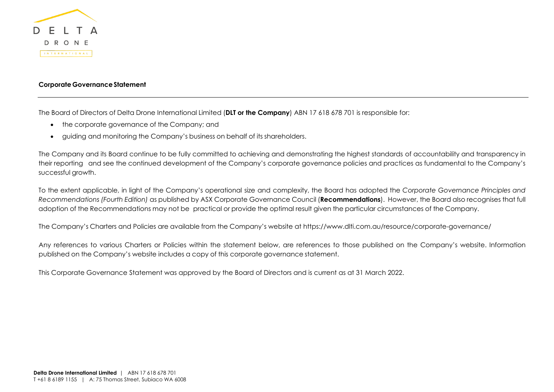

## **Corporate GovernanceStatement**

The Board of Directors of Delta Drone International Limited (**DLT or the Company**) ABN 17 618 678 701 is responsible for:

- the corporate governance of the Company; and
- guiding and monitoring the Company's business on behalf of its shareholders.

The Company and its Board continue to be fully committed to achieving and demonstrating the highest standards of accountability and transparency in their reporting and see the continued development of the Company's corporate governance policies and practices as fundamental to the Company's successful growth.

To the extent applicable, in light of the Company's operational size and complexity, the Board has adopted the *Corporate Governance Principles and Recommendations (Fourth Edition)* as published by ASX Corporate Governance Council (**Recommendations**). However, the Board also recognises that full adoption of the Recommendations may not be practical or provide the optimal result given the particular circumstances of the Company.

The Company's Charters and Policies are available from the Company's website at https://www.dlti.com.au/resource/corporate-governance/

Any references to various Charters or Policies within the statement below, are references to those published on the Company's website. Information published on the Company's website includes a copy of this corporate governance statement.

This Corporate Governance Statement was approved by the Board of Directors and is current as at 31 March 2022.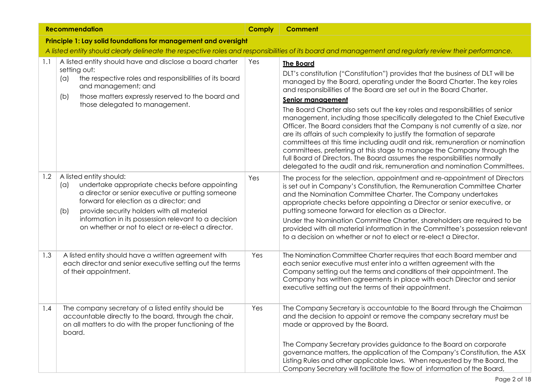|     | <b>Recommendation</b>                                                                                                                                                                                                                                                                                                                               |     | <b>Comment</b>                                                                                                                                                                                                                                                                                                                                                                                                                                                                                                                                                                                                                                                                                                                                                                                                                                                                                                            |  |  |
|-----|-----------------------------------------------------------------------------------------------------------------------------------------------------------------------------------------------------------------------------------------------------------------------------------------------------------------------------------------------------|-----|---------------------------------------------------------------------------------------------------------------------------------------------------------------------------------------------------------------------------------------------------------------------------------------------------------------------------------------------------------------------------------------------------------------------------------------------------------------------------------------------------------------------------------------------------------------------------------------------------------------------------------------------------------------------------------------------------------------------------------------------------------------------------------------------------------------------------------------------------------------------------------------------------------------------------|--|--|
|     | Principle 1: Lay solid foundations for management and oversight                                                                                                                                                                                                                                                                                     |     |                                                                                                                                                                                                                                                                                                                                                                                                                                                                                                                                                                                                                                                                                                                                                                                                                                                                                                                           |  |  |
|     |                                                                                                                                                                                                                                                                                                                                                     |     | A listed entity should clearly delineate the respective roles and responsibilities of its board and management and regularly review their performance.                                                                                                                                                                                                                                                                                                                                                                                                                                                                                                                                                                                                                                                                                                                                                                    |  |  |
| 1.1 | A listed entity should have and disclose a board charter<br>setting out:<br>the respective roles and responsibilities of its board<br>(a)<br>and management; and<br>those matters expressly reserved to the board and<br>(b)<br>those delegated to management.                                                                                      | Yes | <b>The Board</b><br>DLT's constitution ("Constitution") provides that the business of DLT will be<br>managed by the Board, operating under the Board Charter. The key roles<br>and responsibilities of the Board are set out in the Board Charter.<br><b>Senior management</b><br>The Board Charter also sets out the key roles and responsibilities of senior<br>management, including those specifically delegated to the Chief Executive<br>Officer. The Board considers that the Company is not currently of a size, nor<br>are its affairs of such complexity to justify the formation of separate<br>committees at this time including audit and risk, remuneration or nomination<br>committees, preferring at this stage to manage the Company through the<br>full Board of Directors. The Board assumes the responsibilities normally<br>delegated to the audit and risk, remuneration and nomination Committees. |  |  |
| 1.2 | A listed entity should:<br>undertake appropriate checks before appointing<br>(a)<br>a director or senior executive or putting someone<br>forward for election as a director; and<br>provide security holders with all material<br>(b)<br>information in its possession relevant to a decision<br>on whether or not to elect or re-elect a director. | Yes | The process for the selection, appointment and re-appointment of Directors<br>is set out in Company's Constitution, the Remuneration Committee Charter<br>and the Nomination Committee Charter. The Company undertakes<br>appropriate checks before appointing a Director or senior executive, or<br>putting someone forward for election as a Director.<br>Under the Nomination Committee Charter, shareholders are required to be<br>provided with all material information in the Committee's possession relevant<br>to a decision on whether or not to elect or re-elect a Director.                                                                                                                                                                                                                                                                                                                                  |  |  |
| 1.3 | A listed entity should have a written agreement with<br>each director and senior executive setting out the terms<br>of their appointment.                                                                                                                                                                                                           | Yes | The Nomination Committee Charter requires that each Board member and<br>each senior executive must enter into a written agreement with the<br>Company setting out the terms and conditions of their appointment. The<br>Company has written agreements in place with each Director and senior<br>executive setting out the terms of their appointment.                                                                                                                                                                                                                                                                                                                                                                                                                                                                                                                                                                    |  |  |
| 1.4 | The company secretary of a listed entity should be<br>accountable directly to the board, through the chair,<br>on all matters to do with the proper functioning of the<br>board.                                                                                                                                                                    | Yes | The Company Secretary is accountable to the Board through the Chairman<br>and the decision to appoint or remove the company secretary must be<br>made or approved by the Board.<br>The Company Secretary provides guidance to the Board on corporate<br>governance matters, the application of the Company's Constitution, the ASX<br>Listing Rules and other applicable laws. When requested by the Board, the<br>Company Secretary will facilitate the flow of information of the Board,                                                                                                                                                                                                                                                                                                                                                                                                                                |  |  |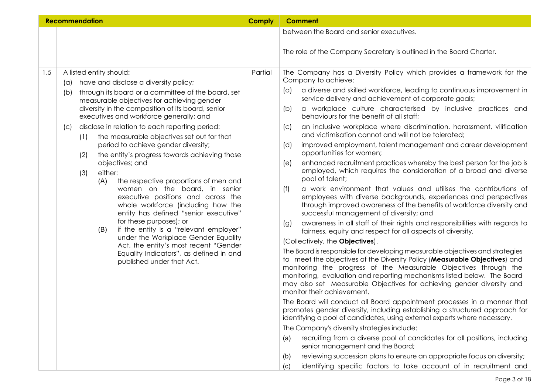|     | <b>Recommendation</b>                                                                                                                                                                                                                                                                                                                                                                                                                                                                                                                                                                                                                                                                                                                                                                                                                                                                                                                                                          | <b>Comply</b> | <b>Comment</b>                                                                                                                                                                                                                                                                                                                                                                                                                                                                                                                                                                                                                                                                                                                                                                                                                                                                                                                                                                                                                                                                                                                                                                                                                                                                                                                                                                                                                                                                                                                                                                                                                                                                                                                                                                                                                                                                                         |
|-----|--------------------------------------------------------------------------------------------------------------------------------------------------------------------------------------------------------------------------------------------------------------------------------------------------------------------------------------------------------------------------------------------------------------------------------------------------------------------------------------------------------------------------------------------------------------------------------------------------------------------------------------------------------------------------------------------------------------------------------------------------------------------------------------------------------------------------------------------------------------------------------------------------------------------------------------------------------------------------------|---------------|--------------------------------------------------------------------------------------------------------------------------------------------------------------------------------------------------------------------------------------------------------------------------------------------------------------------------------------------------------------------------------------------------------------------------------------------------------------------------------------------------------------------------------------------------------------------------------------------------------------------------------------------------------------------------------------------------------------------------------------------------------------------------------------------------------------------------------------------------------------------------------------------------------------------------------------------------------------------------------------------------------------------------------------------------------------------------------------------------------------------------------------------------------------------------------------------------------------------------------------------------------------------------------------------------------------------------------------------------------------------------------------------------------------------------------------------------------------------------------------------------------------------------------------------------------------------------------------------------------------------------------------------------------------------------------------------------------------------------------------------------------------------------------------------------------------------------------------------------------------------------------------------------------|
|     |                                                                                                                                                                                                                                                                                                                                                                                                                                                                                                                                                                                                                                                                                                                                                                                                                                                                                                                                                                                |               | between the Board and senior executives.                                                                                                                                                                                                                                                                                                                                                                                                                                                                                                                                                                                                                                                                                                                                                                                                                                                                                                                                                                                                                                                                                                                                                                                                                                                                                                                                                                                                                                                                                                                                                                                                                                                                                                                                                                                                                                                               |
|     |                                                                                                                                                                                                                                                                                                                                                                                                                                                                                                                                                                                                                                                                                                                                                                                                                                                                                                                                                                                |               | The role of the Company Secretary is outlined in the Board Charter.                                                                                                                                                                                                                                                                                                                                                                                                                                                                                                                                                                                                                                                                                                                                                                                                                                                                                                                                                                                                                                                                                                                                                                                                                                                                                                                                                                                                                                                                                                                                                                                                                                                                                                                                                                                                                                    |
| 1.5 | A listed entity should:<br>have and disclose a diversity policy;<br>(a)<br>through its board or a committee of the board, set<br>(b)<br>measurable objectives for achieving gender<br>diversity in the composition of its board, senior<br>executives and workforce generally; and<br>disclose in relation to each reporting period:<br>(C)<br>the measurable objectives set out for that<br>(1)<br>period to achieve gender diversity;<br>the entity's progress towards achieving those<br>(2)<br>objectives; and<br>either:<br>(3)<br>the respective proportions of men and<br>(A)<br>women on the board, in senior<br>executive positions and across the<br>whole workforce (including how the<br>entity has defined "senior executive"<br>for these purposes); or<br>if the entity is a "relevant employer"<br>(B)<br>under the Workplace Gender Equality<br>Act, the entity's most recent "Gender<br>Equality Indicators", as defined in and<br>published under that Act. | Partial       | The Company has a Diversity Policy which provides a framework for the<br>Company to achieve:<br>a diverse and skilled workforce, leading to continuous improvement in<br>$(\alpha)$<br>service delivery and achievement of corporate goals;<br>a workplace culture characterised by inclusive practices and<br>(b)<br>behaviours for the benefit of all staff;<br>an inclusive workplace where discrimination, harassment, vilification<br>(c)<br>and victimisation cannot and will not be tolerated;<br>improved employment, talent management and career development<br>(d)<br>opportunities for women;<br>enhanced recruitment practices whereby the best person for the job is<br>(e)<br>employed, which requires the consideration of a broad and diverse<br>pool of talent;<br>a work environment that values and utilises the contributions of<br>(f)<br>employees with diverse backgrounds, experiences and perspectives<br>through improved awareness of the benefits of workforce diversity and<br>successful management of diversity; and<br>awareness in all staff of their rights and responsibilities with regards to<br>(g)<br>fairness, equity and respect for all aspects of diversity,<br>(Collectively, the Objectives).<br>The Board is responsible for developing measurable objectives and strategies<br>to meet the objectives of the Diversity Policy (Measurable Objectives) and<br>monitoring the progress of the Measurable Objectives through the<br>monitoring, evaluation and reporting mechanisms listed below. The Board<br>may also set Measurable Objectives for achieving gender diversity and<br>monitor their achievement.<br>The Board will conduct all Board appointment processes in a manner that<br>promotes gender diversity, including establishing a structured approach for<br>identifying a pool of candidates, using external experts where necessary. |
|     |                                                                                                                                                                                                                                                                                                                                                                                                                                                                                                                                                                                                                                                                                                                                                                                                                                                                                                                                                                                |               | The Company's diversity strategies include:<br>recruiting from a diverse pool of candidates for all positions, including<br>(a)                                                                                                                                                                                                                                                                                                                                                                                                                                                                                                                                                                                                                                                                                                                                                                                                                                                                                                                                                                                                                                                                                                                                                                                                                                                                                                                                                                                                                                                                                                                                                                                                                                                                                                                                                                        |
|     |                                                                                                                                                                                                                                                                                                                                                                                                                                                                                                                                                                                                                                                                                                                                                                                                                                                                                                                                                                                |               | senior management and the Board;                                                                                                                                                                                                                                                                                                                                                                                                                                                                                                                                                                                                                                                                                                                                                                                                                                                                                                                                                                                                                                                                                                                                                                                                                                                                                                                                                                                                                                                                                                                                                                                                                                                                                                                                                                                                                                                                       |
|     |                                                                                                                                                                                                                                                                                                                                                                                                                                                                                                                                                                                                                                                                                                                                                                                                                                                                                                                                                                                |               | reviewing succession plans to ensure an appropriate focus on diversity;<br>(b)<br>identifying specific factors to take account of in recruitment and<br>(c)                                                                                                                                                                                                                                                                                                                                                                                                                                                                                                                                                                                                                                                                                                                                                                                                                                                                                                                                                                                                                                                                                                                                                                                                                                                                                                                                                                                                                                                                                                                                                                                                                                                                                                                                            |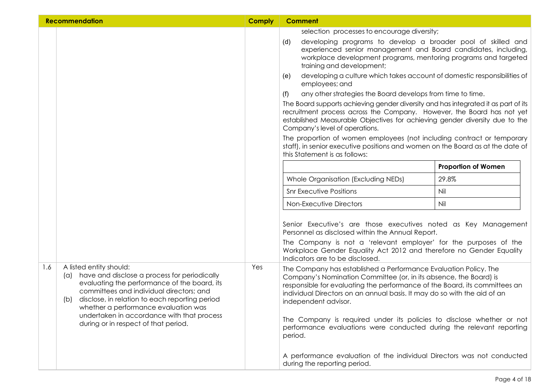|     | <b>Recommendation</b>                                                                                                                                                                                                                                                                                                                                                    | <b>Comply</b> | <b>Comment</b>                                                                                                                                                                                                                                                                                                                                                                                                                                                                      |
|-----|--------------------------------------------------------------------------------------------------------------------------------------------------------------------------------------------------------------------------------------------------------------------------------------------------------------------------------------------------------------------------|---------------|-------------------------------------------------------------------------------------------------------------------------------------------------------------------------------------------------------------------------------------------------------------------------------------------------------------------------------------------------------------------------------------------------------------------------------------------------------------------------------------|
|     |                                                                                                                                                                                                                                                                                                                                                                          |               | selection processes to encourage diversity;<br>developing programs to develop a broader pool of skilled and<br>(d)<br>experienced senior management and Board candidates, including,<br>workplace development programs, mentoring programs and targeted<br>training and development;                                                                                                                                                                                                |
|     |                                                                                                                                                                                                                                                                                                                                                                          |               | developing a culture which takes account of domestic responsibilities of<br>(e)<br>employees; and                                                                                                                                                                                                                                                                                                                                                                                   |
|     |                                                                                                                                                                                                                                                                                                                                                                          |               | any other strategies the Board develops from time to time.<br>(f)                                                                                                                                                                                                                                                                                                                                                                                                                   |
|     |                                                                                                                                                                                                                                                                                                                                                                          |               | The Board supports achieving gender diversity and has integrated it as part of its<br>recruitment process across the Company. However, the Board has not yet<br>established Measurable Objectives for achieving gender diversity due to the<br>Company's level of operations.                                                                                                                                                                                                       |
|     |                                                                                                                                                                                                                                                                                                                                                                          |               | The proportion of women employees (not including contract or temporary<br>staff), in senior executive positions and women on the Board as at the date of<br>this Statement is as follows:                                                                                                                                                                                                                                                                                           |
|     |                                                                                                                                                                                                                                                                                                                                                                          |               | <b>Proportion of Women</b>                                                                                                                                                                                                                                                                                                                                                                                                                                                          |
|     |                                                                                                                                                                                                                                                                                                                                                                          |               | Whole Organisation (Excluding NEDs)<br>29.8%                                                                                                                                                                                                                                                                                                                                                                                                                                        |
|     |                                                                                                                                                                                                                                                                                                                                                                          |               | <b>Snr Executive Positions</b><br>Nil                                                                                                                                                                                                                                                                                                                                                                                                                                               |
|     |                                                                                                                                                                                                                                                                                                                                                                          |               | Nil<br>Non-Executive Directors                                                                                                                                                                                                                                                                                                                                                                                                                                                      |
|     |                                                                                                                                                                                                                                                                                                                                                                          |               | Senior Executive's are those executives noted as Key Management<br>Personnel as disclosed within the Annual Report.<br>The Company is not a 'relevant employer' for the purposes of the<br>Workplace Gender Equality Act 2012 and therefore no Gender Equality<br>Indicators are to be disclosed.                                                                                                                                                                                   |
| 1.6 | A listed entity should:<br>have and disclose a process for periodically<br>$(\alpha)$<br>evaluating the performance of the board, its<br>committees and individual directors; and<br>disclose, in relation to each reporting period<br>(b)<br>whether a performance evaluation was<br>undertaken in accordance with that process<br>during or in respect of that period. | Yes           | The Company has established a Performance Evaluation Policy. The<br>Company's Nomination Committee (or, in its absence, the Board) is<br>responsible for evaluating the performance of the Board, its committees an<br>individual Directors on an annual basis. It may do so with the aid of an<br>independent advisor.<br>The Company is required under its policies to disclose whether or not<br>performance evaluations were conducted during the relevant reporting<br>period. |
|     |                                                                                                                                                                                                                                                                                                                                                                          |               | A performance evaluation of the individual Directors was not conducted<br>during the reporting period.                                                                                                                                                                                                                                                                                                                                                                              |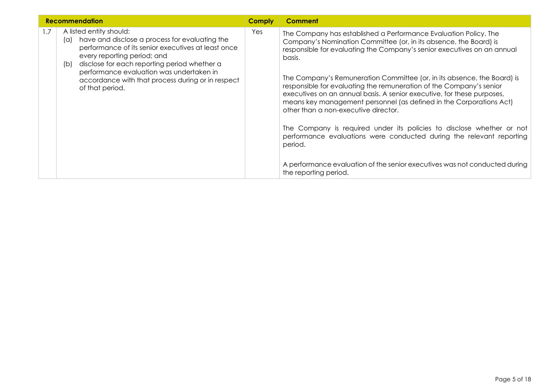| <b>Recommendation</b> |                                                                                                                                                                                                                                                                                 | <b>Comply</b> | <b>Comment</b>                                                                                                                                                                                                                                                                                                                          |
|-----------------------|---------------------------------------------------------------------------------------------------------------------------------------------------------------------------------------------------------------------------------------------------------------------------------|---------------|-----------------------------------------------------------------------------------------------------------------------------------------------------------------------------------------------------------------------------------------------------------------------------------------------------------------------------------------|
| 1.7                   | A listed entity should:<br>have and disclose a process for evaluating the<br>$(\alpha)$<br>performance of its senior executives at least once<br>every reporting period; and<br>disclose for each reporting period whether a<br>(b)<br>performance evaluation was undertaken in | Yes           | The Company has established a Performance Evaluation Policy. The<br>Company's Nomination Committee (or, in its absence, the Board) is<br>responsible for evaluating the Company's senior executives on an annual<br>basis.                                                                                                              |
|                       | accordance with that process during or in respect<br>of that period.                                                                                                                                                                                                            |               | The Company's Remuneration Committee (or, in its absence, the Board) is<br>responsible for evaluating the remuneration of the Company's senior<br>executives on an annual basis. A senior executive, for these purposes,<br>means key management personnel (as defined in the Corporations Act)<br>other than a non-executive director. |
|                       |                                                                                                                                                                                                                                                                                 |               | The Company is required under its policies to disclose whether or not<br>performance evaluations were conducted during the relevant reporting<br>period.                                                                                                                                                                                |
|                       |                                                                                                                                                                                                                                                                                 |               | A performance evaluation of the senior executives was not conducted during<br>the reporting period.                                                                                                                                                                                                                                     |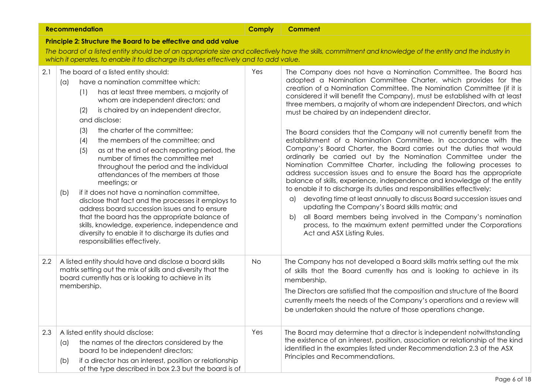|                                                                | <b>Recommendation</b>                                                                                                                                                                                                                                                                                                                                                                                                                                                                                                                                                                                                                                                                                                                                                                                                                                                                           | <b>Comply</b> | <b>Comment</b>                                                                                                                                                                                                                                                                                                                                                                                                                                                                                                                                                                                                                                                                                                                                                                                                                                                                                                                                                                                                                                                                                                                                                                                                                                                                                                            |  |
|----------------------------------------------------------------|-------------------------------------------------------------------------------------------------------------------------------------------------------------------------------------------------------------------------------------------------------------------------------------------------------------------------------------------------------------------------------------------------------------------------------------------------------------------------------------------------------------------------------------------------------------------------------------------------------------------------------------------------------------------------------------------------------------------------------------------------------------------------------------------------------------------------------------------------------------------------------------------------|---------------|---------------------------------------------------------------------------------------------------------------------------------------------------------------------------------------------------------------------------------------------------------------------------------------------------------------------------------------------------------------------------------------------------------------------------------------------------------------------------------------------------------------------------------------------------------------------------------------------------------------------------------------------------------------------------------------------------------------------------------------------------------------------------------------------------------------------------------------------------------------------------------------------------------------------------------------------------------------------------------------------------------------------------------------------------------------------------------------------------------------------------------------------------------------------------------------------------------------------------------------------------------------------------------------------------------------------------|--|
| Principle 2: Structure the Board to be effective and add value |                                                                                                                                                                                                                                                                                                                                                                                                                                                                                                                                                                                                                                                                                                                                                                                                                                                                                                 |               |                                                                                                                                                                                                                                                                                                                                                                                                                                                                                                                                                                                                                                                                                                                                                                                                                                                                                                                                                                                                                                                                                                                                                                                                                                                                                                                           |  |
|                                                                |                                                                                                                                                                                                                                                                                                                                                                                                                                                                                                                                                                                                                                                                                                                                                                                                                                                                                                 |               | The board of a listed entity should be of an appropriate size and collectively have the skills, commitment and knowledge of the entity and the industry in                                                                                                                                                                                                                                                                                                                                                                                                                                                                                                                                                                                                                                                                                                                                                                                                                                                                                                                                                                                                                                                                                                                                                                |  |
|                                                                | which it operates, to enable it to discharge its duties effectively and to add value.                                                                                                                                                                                                                                                                                                                                                                                                                                                                                                                                                                                                                                                                                                                                                                                                           |               |                                                                                                                                                                                                                                                                                                                                                                                                                                                                                                                                                                                                                                                                                                                                                                                                                                                                                                                                                                                                                                                                                                                                                                                                                                                                                                                           |  |
| 2.1                                                            | The board of a listed entity should:<br>have a nomination committee which:<br>$(\alpha)$<br>has at least three members, a majority of<br>(1)<br>whom are independent directors; and<br>is chaired by an independent director,<br>(2)<br>and disclose:<br>the charter of the committee;<br>(3)<br>the members of the committee; and<br>(4)<br>(5)<br>as at the end of each reporting period, the<br>number of times the committee met<br>throughout the period and the individual<br>attendances of the members at those<br>meetings; or<br>if it does not have a nomination committee,<br>(b)<br>disclose that fact and the processes it employs to<br>address board succession issues and to ensure<br>that the board has the appropriate balance of<br>skills, knowledge, experience, independence and<br>diversity to enable it to discharge its duties and<br>responsibilities effectively. | Yes           | The Company does not have a Nomination Committee. The Board has<br>adopted a Nomination Committee Charter, which provides for the<br>creation of a Nomination Committee. The Nomination Committee (if it is<br>considered it will benefit the Company), must be established with at least<br>three members, a majority of whom are independent Directors, and which<br>must be chaired by an independent director.<br>The Board considers that the Company will not currently benefit from the<br>establishment of a Nomination Committee. In accordance with the<br>Company's Board Charter, the Board carries out the duties that would<br>ordinarily be carried out by the Nomination Committee under the<br>Nomination Committee Charter, including the following processes to<br>address succession issues and to ensure the Board has the appropriate<br>balance of skills, experience, independence and knowledge of the entity<br>to enable it to discharge its duties and responsibilities effectively:<br>devoting time at least annually to discuss Board succession issues and<br>a)<br>updating the Company's Board skills matrix; and<br>all Board members being involved in the Company's nomination<br>b<br>process, to the maximum extent permitted under the Corporations<br>Act and ASX Listing Rules. |  |
| $2.2\phantom{0}$                                               | A listed entity should have and disclose a board skills<br>matrix setting out the mix of skills and diversity that the<br>board currently has or is looking to achieve in its<br>membership.                                                                                                                                                                                                                                                                                                                                                                                                                                                                                                                                                                                                                                                                                                    | No.           | The Company has not developed a Board skills matrix setting out the mix<br>of skills that the Board currently has and is looking to achieve in its<br>membership.<br>The Directors are satisfied that the composition and structure of the Board<br>currently meets the needs of the Company's operations and a review will<br>be undertaken should the nature of those operations change.                                                                                                                                                                                                                                                                                                                                                                                                                                                                                                                                                                                                                                                                                                                                                                                                                                                                                                                                |  |
| 2.3                                                            | A listed entity should disclose:<br>the names of the directors considered by the<br>(a)<br>board to be independent directors;<br>if a director has an interest, position or relationship<br>(b)<br>of the type described in box 2.3 but the board is of                                                                                                                                                                                                                                                                                                                                                                                                                                                                                                                                                                                                                                         | Yes           | The Board may determine that a director is independent not with standing<br>the existence of an interest, position, association or relationship of the kind<br>identified in the examples listed under Recommendation 2.3 of the ASX<br>Principles and Recommendations.                                                                                                                                                                                                                                                                                                                                                                                                                                                                                                                                                                                                                                                                                                                                                                                                                                                                                                                                                                                                                                                   |  |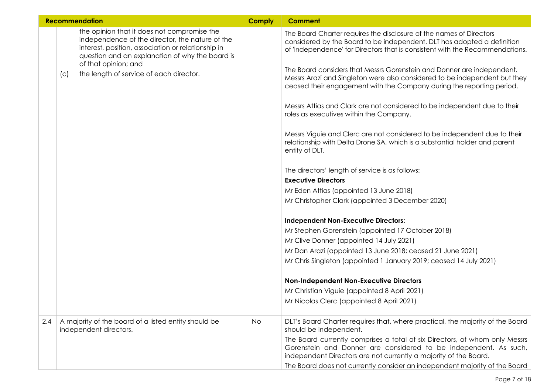|     | <b>Recommendation</b>                                                                                                                                                                                                                                                             | <b>Comply</b> | <b>Comment</b>                                                                                                                                                                                                                                                                                                                                                                                                                                                                                                                                                                                                                                                                                                                                                                                                          |
|-----|-----------------------------------------------------------------------------------------------------------------------------------------------------------------------------------------------------------------------------------------------------------------------------------|---------------|-------------------------------------------------------------------------------------------------------------------------------------------------------------------------------------------------------------------------------------------------------------------------------------------------------------------------------------------------------------------------------------------------------------------------------------------------------------------------------------------------------------------------------------------------------------------------------------------------------------------------------------------------------------------------------------------------------------------------------------------------------------------------------------------------------------------------|
|     | the opinion that it does not compromise the<br>independence of the director, the nature of the<br>interest, position, association or relationship in<br>question and an explanation of why the board is<br>of that opinion; and<br>the length of service of each director.<br>(c) |               | The Board Charter requires the disclosure of the names of Directors<br>considered by the Board to be independent. DLT has adopted a definition<br>of 'independence' for Directors that is consistent with the Recommendations.<br>The Board considers that Messrs Gorenstein and Donner are independent.<br>Messrs Arazi and Singleton were also considered to be independent but they<br>ceased their engagement with the Company during the reporting period.<br>Messrs Attias and Clark are not considered to be independent due to their<br>roles as executives within the Company.<br>Messrs Viguie and Clerc are not considered to be independent due to their<br>relationship with Delta Drone SA, which is a substantial holder and parent<br>entity of DLT.<br>The directors' length of service is as follows: |
|     |                                                                                                                                                                                                                                                                                   |               | <b>Executive Directors</b>                                                                                                                                                                                                                                                                                                                                                                                                                                                                                                                                                                                                                                                                                                                                                                                              |
|     |                                                                                                                                                                                                                                                                                   |               | Mr Eden Attias (appointed 13 June 2018)                                                                                                                                                                                                                                                                                                                                                                                                                                                                                                                                                                                                                                                                                                                                                                                 |
|     |                                                                                                                                                                                                                                                                                   |               | Mr Christopher Clark (appointed 3 December 2020)                                                                                                                                                                                                                                                                                                                                                                                                                                                                                                                                                                                                                                                                                                                                                                        |
|     |                                                                                                                                                                                                                                                                                   |               | <b>Independent Non-Executive Directors:</b>                                                                                                                                                                                                                                                                                                                                                                                                                                                                                                                                                                                                                                                                                                                                                                             |
|     |                                                                                                                                                                                                                                                                                   |               | Mr Stephen Gorenstein (appointed 17 October 2018)                                                                                                                                                                                                                                                                                                                                                                                                                                                                                                                                                                                                                                                                                                                                                                       |
|     |                                                                                                                                                                                                                                                                                   |               | Mr Clive Donner (appointed 14 July 2021)                                                                                                                                                                                                                                                                                                                                                                                                                                                                                                                                                                                                                                                                                                                                                                                |
|     |                                                                                                                                                                                                                                                                                   |               | Mr Dan Arazi (appointed 13 June 2018; ceased 21 June 2021)                                                                                                                                                                                                                                                                                                                                                                                                                                                                                                                                                                                                                                                                                                                                                              |
|     |                                                                                                                                                                                                                                                                                   |               | Mr Chris Singleton (appointed 1 January 2019; ceased 14 July 2021)                                                                                                                                                                                                                                                                                                                                                                                                                                                                                                                                                                                                                                                                                                                                                      |
|     |                                                                                                                                                                                                                                                                                   |               | <b>Non-Independent Non-Executive Directors</b>                                                                                                                                                                                                                                                                                                                                                                                                                                                                                                                                                                                                                                                                                                                                                                          |
|     |                                                                                                                                                                                                                                                                                   |               | Mr Christian Viguie (appointed 8 April 2021)                                                                                                                                                                                                                                                                                                                                                                                                                                                                                                                                                                                                                                                                                                                                                                            |
|     |                                                                                                                                                                                                                                                                                   |               | Mr Nicolas Clerc (appointed 8 April 2021)                                                                                                                                                                                                                                                                                                                                                                                                                                                                                                                                                                                                                                                                                                                                                                               |
| 2.4 | A majority of the board of a listed entity should be<br>independent directors.                                                                                                                                                                                                    | <b>No</b>     | DLT's Board Charter requires that, where practical, the majority of the Board<br>should be independent.                                                                                                                                                                                                                                                                                                                                                                                                                                                                                                                                                                                                                                                                                                                 |
|     |                                                                                                                                                                                                                                                                                   |               | The Board currently comprises a total of six Directors, of whom only Messrs<br>Gorenstein and Donner are considered to be independent. As such,<br>independent Directors are not currently a majority of the Board.                                                                                                                                                                                                                                                                                                                                                                                                                                                                                                                                                                                                     |
|     |                                                                                                                                                                                                                                                                                   |               | The Board does not currently consider an independent majority of the Board                                                                                                                                                                                                                                                                                                                                                                                                                                                                                                                                                                                                                                                                                                                                              |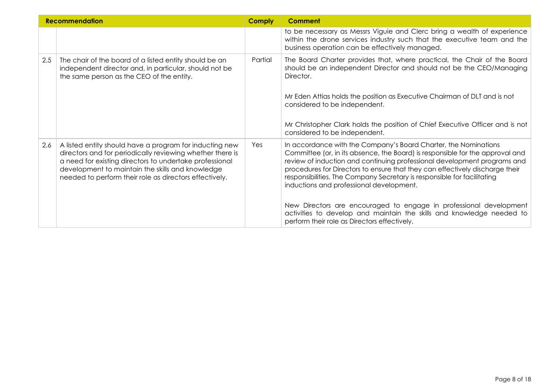| <b>Recommendation</b> |                                                                                                                                                                                                                                                                                               | <b>Comply</b> | Comment                                                                                                                                                                                                                                                                                                                                                                                                                                                                                                                                                                                                                            |
|-----------------------|-----------------------------------------------------------------------------------------------------------------------------------------------------------------------------------------------------------------------------------------------------------------------------------------------|---------------|------------------------------------------------------------------------------------------------------------------------------------------------------------------------------------------------------------------------------------------------------------------------------------------------------------------------------------------------------------------------------------------------------------------------------------------------------------------------------------------------------------------------------------------------------------------------------------------------------------------------------------|
|                       |                                                                                                                                                                                                                                                                                               |               | to be necessary as Messrs Viguie and Clerc bring a wealth of experience<br>within the drone services industry such that the executive team and the<br>business operation can be effectively managed.                                                                                                                                                                                                                                                                                                                                                                                                                               |
| 2.5                   | The chair of the board of a listed entity should be an<br>independent director and, in particular, should not be<br>the same person as the CEO of the entity.                                                                                                                                 | Partial       | The Board Charter provides that, where practical, the Chair of the Board<br>should be an independent Director and should not be the CEO/Managing<br>Director.<br>Mr Eden Attias holds the position as Executive Chairman of DLT and is not<br>considered to be independent.<br>Mr Christopher Clark holds the position of Chief Executive Officer and is not<br>considered to be independent.                                                                                                                                                                                                                                      |
| 2.6                   | A listed entity should have a program for inducting new<br>directors and for periodically reviewing whether there is<br>a need for existing directors to undertake professional<br>development to maintain the skills and knowledge<br>needed to perform their role as directors effectively. | Yes           | In accordance with the Company's Board Charter, the Nominations<br>Committee (or, in its absence, the Board) is responsible for the approval and<br>review of induction and continuing professional development programs and<br>procedures for Directors to ensure that they can effectively discharge their<br>responsibilities. The Company Secretary is responsible for facilitating<br>inductions and professional development.<br>New Directors are encouraged to engage in professional development<br>activities to develop and maintain the skills and knowledge needed to<br>perform their role as Directors effectively. |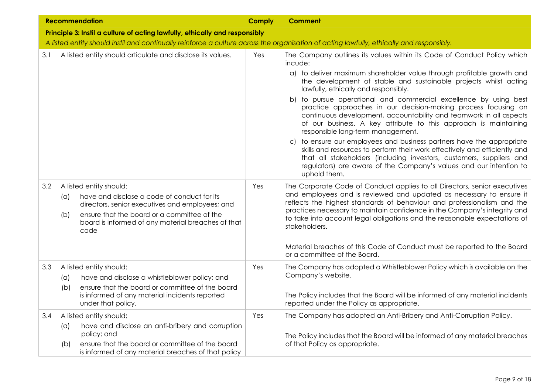|     | <b>Recommendation</b>                                                                                                                                                                                                                                       | <b>Comply</b> | <b>Comment</b>                                                                                                                                                                                                                                                                                                                                                                                         |
|-----|-------------------------------------------------------------------------------------------------------------------------------------------------------------------------------------------------------------------------------------------------------------|---------------|--------------------------------------------------------------------------------------------------------------------------------------------------------------------------------------------------------------------------------------------------------------------------------------------------------------------------------------------------------------------------------------------------------|
|     | Principle 3: Instil a culture of acting lawfully, ethically and responsibly                                                                                                                                                                                 |               |                                                                                                                                                                                                                                                                                                                                                                                                        |
|     | A listed entity should instil and continually reinforce a culture across the organisation of acting lawfully, ethically and responsibly.                                                                                                                    |               |                                                                                                                                                                                                                                                                                                                                                                                                        |
| 3.1 | A listed entity should articulate and disclose its values.                                                                                                                                                                                                  | Yes           | The Company outlines its values within its Code of Conduct Policy which<br>incude:                                                                                                                                                                                                                                                                                                                     |
|     |                                                                                                                                                                                                                                                             |               | a) to deliver maximum shareholder value through profitable growth and<br>the development of stable and sustainable projects whilst acting<br>lawfully, ethically and responsibly.                                                                                                                                                                                                                      |
|     |                                                                                                                                                                                                                                                             |               | b) to pursue operational and commercial excellence by using best<br>practice approaches in our decision-making process focusing on<br>continuous development, accountability and teamwork in all aspects<br>of our business. A key attribute to this approach is maintaining<br>responsible long-term management.                                                                                      |
|     |                                                                                                                                                                                                                                                             |               | c) to ensure our employees and business partners have the appropriate<br>skills and resources to perform their work effectively and efficiently and<br>that all stakeholders (including investors, customers, suppliers and<br>regulators) are aware of the Company's values and our intention to<br>uphold them.                                                                                      |
| 3.2 | A listed entity should:<br>have and disclose a code of conduct for its<br>$(\alpha)$<br>directors, senior executives and employees; and<br>ensure that the board or a committee of the<br>(b)<br>board is informed of any material breaches of that<br>code | Yes           | The Corporate Code of Conduct applies to all Directors, senior executives<br>and employees and is reviewed and updated as necessary to ensure it<br>reflects the highest standards of behaviour and professionalism and the<br>practices necessary to maintain confidence in the Company's integrity and<br>to take into account legal obligations and the reasonable expectations of<br>stakeholders. |
|     |                                                                                                                                                                                                                                                             |               | Material breaches of this Code of Conduct must be reported to the Board<br>or a committee of the Board.                                                                                                                                                                                                                                                                                                |
| 3.3 | A listed entity should:<br>have and disclose a whistleblower policy; and<br>(a)<br>ensure that the board or committee of the board<br>(b)                                                                                                                   | Yes           | The Company has adopted a Whistleblower Policy which is available on the<br>Company's website.                                                                                                                                                                                                                                                                                                         |
|     | is informed of any material incidents reported<br>under that policy.                                                                                                                                                                                        |               | The Policy includes that the Board will be informed of any material incidents<br>reported under the Policy as appropriate.                                                                                                                                                                                                                                                                             |
| 3.4 | A listed entity should:                                                                                                                                                                                                                                     | Yes           | The Company has adopted an Anti-Bribery and Anti-Corruption Policy.                                                                                                                                                                                                                                                                                                                                    |
|     | have and disclose an anti-bribery and corruption<br>(a)<br>policy; and                                                                                                                                                                                      |               |                                                                                                                                                                                                                                                                                                                                                                                                        |
|     | ensure that the board or committee of the board<br>(b)<br>is informed of any material breaches of that policy                                                                                                                                               |               | The Policy includes that the Board will be informed of any material breaches<br>of that Policy as appropriate.                                                                                                                                                                                                                                                                                         |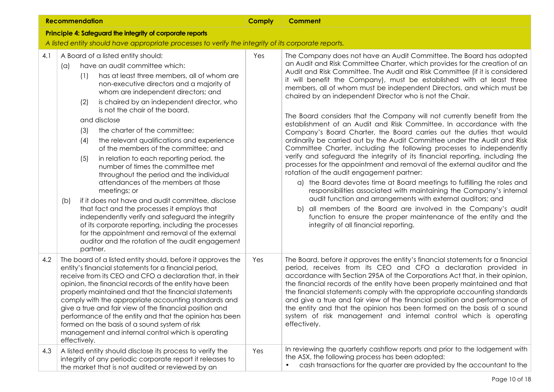|     | <b>Recommendation</b>                                                                                                                                                                                                                                                                                                                                                                                                                                                                                                                                                                                                                                                                                                                                                                                                                                                                                                                                                                                         | <b>Comply</b> | <b>Comment</b>                                                                                                                                                                                                                                                                                                                                                                                                                                                                                                                                                                                                                                                                                                                                                                                                                                                                                                                                                                                                                                                                                                                                                                                                                                                                                                                                                                                                                             |
|-----|---------------------------------------------------------------------------------------------------------------------------------------------------------------------------------------------------------------------------------------------------------------------------------------------------------------------------------------------------------------------------------------------------------------------------------------------------------------------------------------------------------------------------------------------------------------------------------------------------------------------------------------------------------------------------------------------------------------------------------------------------------------------------------------------------------------------------------------------------------------------------------------------------------------------------------------------------------------------------------------------------------------|---------------|--------------------------------------------------------------------------------------------------------------------------------------------------------------------------------------------------------------------------------------------------------------------------------------------------------------------------------------------------------------------------------------------------------------------------------------------------------------------------------------------------------------------------------------------------------------------------------------------------------------------------------------------------------------------------------------------------------------------------------------------------------------------------------------------------------------------------------------------------------------------------------------------------------------------------------------------------------------------------------------------------------------------------------------------------------------------------------------------------------------------------------------------------------------------------------------------------------------------------------------------------------------------------------------------------------------------------------------------------------------------------------------------------------------------------------------------|
|     | Principle 4: Safeguard the integrity of corporate reports                                                                                                                                                                                                                                                                                                                                                                                                                                                                                                                                                                                                                                                                                                                                                                                                                                                                                                                                                     |               |                                                                                                                                                                                                                                                                                                                                                                                                                                                                                                                                                                                                                                                                                                                                                                                                                                                                                                                                                                                                                                                                                                                                                                                                                                                                                                                                                                                                                                            |
|     | A listed entity should have appropriate processes to verify the integrity of its corporate reports.                                                                                                                                                                                                                                                                                                                                                                                                                                                                                                                                                                                                                                                                                                                                                                                                                                                                                                           |               |                                                                                                                                                                                                                                                                                                                                                                                                                                                                                                                                                                                                                                                                                                                                                                                                                                                                                                                                                                                                                                                                                                                                                                                                                                                                                                                                                                                                                                            |
| 4.1 | A Board of a listed entity should:<br>have an audit committee which:<br>$(\alpha)$<br>has at least three members, all of whom are<br>(1)<br>non-executive directors and a majority of<br>whom are independent directors; and<br>(2)<br>is chaired by an independent director, who<br>is not the chair of the board.<br>and disclose<br>the charter of the committee;<br>(3)<br>the relevant qualifications and experience<br>(4)<br>of the members of the committee; and<br>in relation to each reporting period, the<br>(5)<br>number of times the committee met<br>throughout the period and the individual<br>attendances of the members at those<br>meetings; or<br>if it does not have and audit committee, disclose<br>(b)<br>that fact and the processes it employs that<br>independently verify and safeguard the integrity<br>of its corporate reporting, including the processes<br>for the appointment and removal of the external<br>auditor and the rotation of the audit engagement<br>partner. | Yes           | The Company does not have an Audit Committee. The Board has adopted<br>an Audit and Risk Committee Charter, which provides for the creation of an<br>Audit and Risk Committee. The Audit and Risk Committee (if it is considered<br>it will benefit the Company), must be established with at least three<br>members, all of whom must be independent Directors, and which must be<br>chaired by an independent Director who is not the Chair.<br>The Board considers that the Company will not currently benefit from the<br>establishment of an Audit and Risk Committee. In accordance with the<br>Company's Board Charter, the Board carries out the duties that would<br>ordinarily be carried out by the Audit Committee under the Audit and Risk<br>Committee Charter, including the following processes to independently<br>verify and safeguard the integrity of its financial reporting, including the<br>processes for the appointment and removal of the external auditor and the<br>rotation of the audit engagement partner:<br>a) the Board devotes time at Board meetings to fulfilling the roles and<br>responsibilities associated with maintaining the Company's internal<br>audit function and arrangements with external auditors; and<br>b) all members of the Board are involved in the Company's audit<br>function to ensure the proper maintenance of the entity and the<br>integrity of all financial reporting. |
| 4.2 | The board of a listed entity should, before it approves the<br>entity's financial statements for a financial period,<br>receive from its CEO and CFO a declaration that, in their<br>opinion, the financial records of the entity have been<br>properly maintained and that the financial statements<br>comply with the appropriate accounting standards and<br>give a true and fair view of the financial position and<br>performance of the entity and that the opinion has been<br>formed on the basis of a sound system of risk<br>management and internal control which is operating<br>effectively.                                                                                                                                                                                                                                                                                                                                                                                                     | Yes           | The Board, before it approves the entity's financial statements for a financial<br>period, receives from its CEO and CFO a declaration provided in<br>accordance with Section 295A of the Corporations Act that, in their opinion,<br>the financial records of the entity have been properly maintained and that<br>the financial statements comply with the appropriate accounting standards<br>and give a true and fair view of the financial position and performance of<br>the entity and that the opinion has been formed on the basis of a sound<br>system of risk management and internal control which is operating<br>effectively.                                                                                                                                                                                                                                                                                                                                                                                                                                                                                                                                                                                                                                                                                                                                                                                                |
| 4.3 | A listed entity should disclose its process to verify the<br>integrity of any periodic corporate report it releases to<br>the market that is not audited or reviewed by an                                                                                                                                                                                                                                                                                                                                                                                                                                                                                                                                                                                                                                                                                                                                                                                                                                    | Yes           | In reviewing the quarterly cashflow reports and prior to the lodgement with<br>the ASX, the following process has been adopted:<br>cash transactions for the quarter are provided by the accountant to the                                                                                                                                                                                                                                                                                                                                                                                                                                                                                                                                                                                                                                                                                                                                                                                                                                                                                                                                                                                                                                                                                                                                                                                                                                 |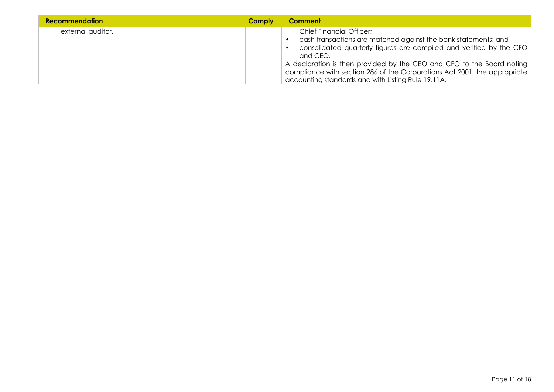| <b>Recommendation</b> |                   | <b>Comply</b> | <b>Comment</b>                                                                                                                                                                                                                                                                                                                                                                                   |
|-----------------------|-------------------|---------------|--------------------------------------------------------------------------------------------------------------------------------------------------------------------------------------------------------------------------------------------------------------------------------------------------------------------------------------------------------------------------------------------------|
|                       | external auditor. |               | <b>Chief Financial Officer;</b><br>cash transactions are matched against the bank statements; and<br>consolidated quarterly figures are compiled and verified by the CFO<br>and CEO.<br>A declaration is then provided by the CEO and CFO to the Board noting<br>compliance with section 286 of the Corporations Act 2001, the appropriate<br>accounting standards and with Listing Rule 19.11A. |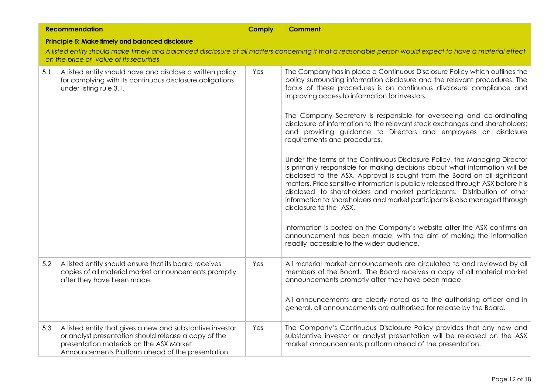|     | <b>Recommendation</b>                                                                                                                                                                                             | <b>Comply</b> | <b>Comment</b>                                                                                                                                                                                                                                                                                                                                                                                                                                                                                                                                                                                                                                                                                                                                                                                                                                                                                                                                                                                                                                                       |
|-----|-------------------------------------------------------------------------------------------------------------------------------------------------------------------------------------------------------------------|---------------|----------------------------------------------------------------------------------------------------------------------------------------------------------------------------------------------------------------------------------------------------------------------------------------------------------------------------------------------------------------------------------------------------------------------------------------------------------------------------------------------------------------------------------------------------------------------------------------------------------------------------------------------------------------------------------------------------------------------------------------------------------------------------------------------------------------------------------------------------------------------------------------------------------------------------------------------------------------------------------------------------------------------------------------------------------------------|
|     | Principle 5: Make fimely and balanced disclosure                                                                                                                                                                  |               |                                                                                                                                                                                                                                                                                                                                                                                                                                                                                                                                                                                                                                                                                                                                                                                                                                                                                                                                                                                                                                                                      |
|     | on the price or value of its securities                                                                                                                                                                           |               | A listed entity should make timely and balanced disclosure of all matters concerning it that a reasonable person would expect to have a material effect                                                                                                                                                                                                                                                                                                                                                                                                                                                                                                                                                                                                                                                                                                                                                                                                                                                                                                              |
| 5.1 | A listed entity should have and disclose a written policy<br>for complying with its continuous disclosure obligations<br>under listing rule 3.1.                                                                  | Yes           | The Company has in place a Continuous Disclosure Policy which outlines the<br>policy surrounding information disclosure and the relevant procedures. The<br>focus of these procedures is on continuous disclosure compliance and<br>improving access to information for investors.<br>The Company Secretary is responsible for overseeing and co-ordinating<br>disclosure of information to the relevant stock exchanges and shareholders;<br>and providing guidance to Directors and employees on disclosure<br>requirements and procedures.<br>Under the terms of the Continuous Disclosure Policy, the Managing Director<br>is primarily responsible for making decisions about what information will be<br>disclosed to the ASX. Approval is sought from the Board on all significant<br>matters. Price sensitive information is publicly released through ASX before it is<br>disclosed to shareholders and market participants. Distribution of other<br>information to shareholders and market participants is also managed through<br>disclosure to the ASX. |
|     |                                                                                                                                                                                                                   |               | Information is posted on the Company's website after the ASX confirms an<br>announcement has been made, with the aim of making the information<br>readily accessible to the widest audience.                                                                                                                                                                                                                                                                                                                                                                                                                                                                                                                                                                                                                                                                                                                                                                                                                                                                         |
| 5.2 | A listed entity should ensure that its board receives<br>copies of all material market announcements promptly<br>after they have been made.                                                                       | Yes           | All material market announcements are circulated to and reviewed by all<br>members of the Board. The Board receives a copy of all material market<br>announcements promptly after they have been made.<br>All announcements are clearly noted as to the authorising officer and in<br>general, all announcements are authorised for release by the Board.                                                                                                                                                                                                                                                                                                                                                                                                                                                                                                                                                                                                                                                                                                            |
| 5.3 | A listed entity that gives a new and substantive investor<br>or analyst presentation should release a copy of the<br>presentation materials on the ASX Market<br>Announcements Platform ahead of the presentation | Yes           | The Company's Continuous Disclosure Policy provides that any new and<br>substantive investor or analyst presentation will be released on the ASX<br>market announcements platform ahead of the presentation.                                                                                                                                                                                                                                                                                                                                                                                                                                                                                                                                                                                                                                                                                                                                                                                                                                                         |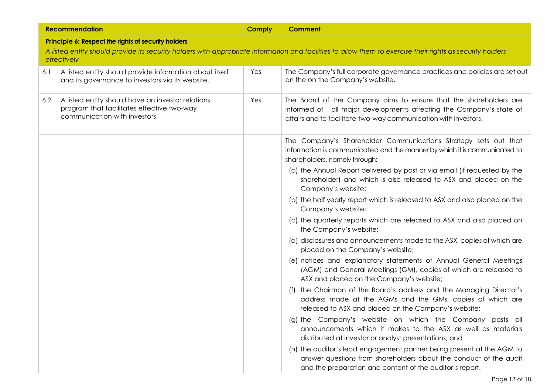|     | <b>Recommendation</b>                                                                                                            | <b>Comply</b> | <b>Comment</b>                                                                                                                                                                                              |
|-----|----------------------------------------------------------------------------------------------------------------------------------|---------------|-------------------------------------------------------------------------------------------------------------------------------------------------------------------------------------------------------------|
|     | Principle 6: Respect the rights of security holders                                                                              |               |                                                                                                                                                                                                             |
|     | effectively                                                                                                                      |               | A listed entity should provide its security holders with appropriate information and facilities to allow them to exercise their rights as security holders                                                  |
| 6.1 | A listed entity should provide information about itself<br>and its governance to investors via its website.                      | Yes           | The Company's full corporate governance practices and policies are set out<br>on the on the Company's website.                                                                                              |
| 6.2 | A listed entity should have an investor relations<br>program that facilitates effective two-way<br>communication with investors. | Yes           | The Board of the Company aims to ensure that the shareholders are<br>informed of all major developments affecting the Company's state of<br>affairs and to facilitate two-way communication with investors. |
|     |                                                                                                                                  |               | The Company's Shareholder Communications Strategy sets out that<br>information is communicated and the manner by which it is communicated to<br>shareholders, namely through:                               |
|     |                                                                                                                                  |               | (a) the Annual Report delivered by post or via email (if requested by the<br>shareholder) and which is also released to ASX and placed on the<br>Company's website;                                         |
|     |                                                                                                                                  |               | (b) the half yearly report which is released to ASX and also placed on the<br>Company's website;                                                                                                            |
|     |                                                                                                                                  |               | (c) the quarterly reports which are released to ASX and also placed on<br>the Company's website;                                                                                                            |
|     |                                                                                                                                  |               | (d) disclosures and announcements made to the ASX, copies of which are<br>placed on the Company's website;                                                                                                  |
|     |                                                                                                                                  |               | (e) notices and explanatory statements of Annual General Meetings<br>(AGM) and General Meetings (GM), copies of which are released to<br>ASX and placed on the Company's website;                           |
|     |                                                                                                                                  |               | the Chairman of the Board's address and the Managing Director's<br>(f)<br>address made at the AGMs and the GMs, copies of which are<br>released to ASX and placed on the Company's website;                 |
|     |                                                                                                                                  |               | (g) the Company's website on which the Company posts all<br>announcements which it makes to the ASX as well as materials<br>distributed at investor or analyst presentations; and                           |
|     |                                                                                                                                  |               | (h) the auditor's lead engagement partner being present at the AGM to<br>answer questions from shareholders about the conduct of the audit<br>and the preparation and content of the auditor's report.      |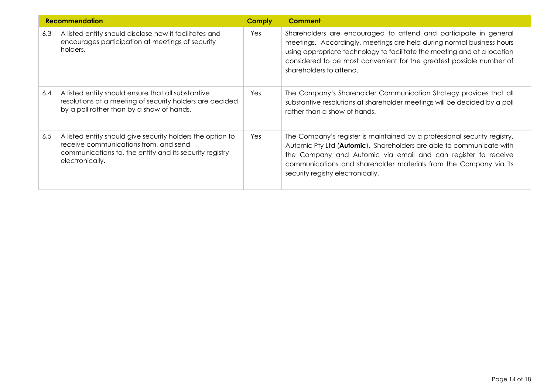| <b>Recommendation</b> |                                                                                                                                                                                   | <b>Comply</b> | <b>Comment</b>                                                                                                                                                                                                                                                                                                               |
|-----------------------|-----------------------------------------------------------------------------------------------------------------------------------------------------------------------------------|---------------|------------------------------------------------------------------------------------------------------------------------------------------------------------------------------------------------------------------------------------------------------------------------------------------------------------------------------|
| 6.3                   | A listed entity should disclose how it facilitates and<br>encourages participation at meetings of security<br>holders.                                                            | Yes           | Shareholders are encouraged to attend and participate in general<br>meetings. Accordingly, meetings are held during normal business hours<br>using appropriate technology to facilitate the meeting and at a location<br>considered to be most convenient for the greatest possible number of<br>shareholders to attend.     |
| 6.4                   | A listed entity should ensure that all substantive<br>resolutions at a meeting of security holders are decided<br>by a poll rather than by a show of hands.                       | Yes           | The Company's Shareholder Communication Strategy provides that all<br>substantive resolutions at shareholder meetings will be decided by a poll<br>rather than a show of hands.                                                                                                                                              |
| 6.5                   | A listed entity should give security holders the option to<br>receive communications from, and send<br>communications to, the entity and its security registry<br>electronically. | Yes           | The Company's register is maintained by a professional security registry,<br>Automic Pty Ltd (Automic). Shareholders are able to communicate with<br>the Company and Automic via email and can register to receive<br>communications and shareholder materials from the Company via its<br>security registry electronically. |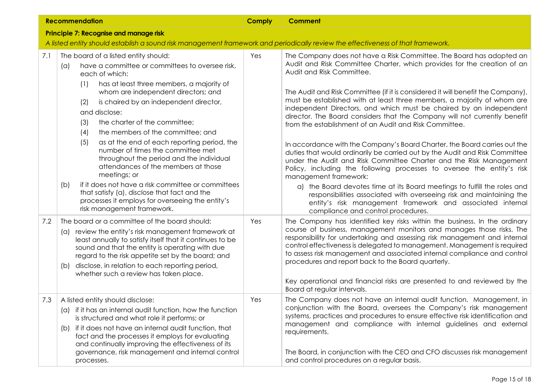| <b>Recommendation</b> |                                                                                                                                                                                                                                                                                                                                                                                                                                                                                                                                                                                                                                                                                                                                                                | <b>Comply</b> | <b>Comment</b>                                                                                                                                                                                                                                                                                                                                                                                                                                                                                                                                                                                                                                                                                                                                                                                                                                                                                                                                                                                                                                                                                                                                       |  |
|-----------------------|----------------------------------------------------------------------------------------------------------------------------------------------------------------------------------------------------------------------------------------------------------------------------------------------------------------------------------------------------------------------------------------------------------------------------------------------------------------------------------------------------------------------------------------------------------------------------------------------------------------------------------------------------------------------------------------------------------------------------------------------------------------|---------------|------------------------------------------------------------------------------------------------------------------------------------------------------------------------------------------------------------------------------------------------------------------------------------------------------------------------------------------------------------------------------------------------------------------------------------------------------------------------------------------------------------------------------------------------------------------------------------------------------------------------------------------------------------------------------------------------------------------------------------------------------------------------------------------------------------------------------------------------------------------------------------------------------------------------------------------------------------------------------------------------------------------------------------------------------------------------------------------------------------------------------------------------------|--|
|                       | <b>Principle 7: Recognise and manage risk</b>                                                                                                                                                                                                                                                                                                                                                                                                                                                                                                                                                                                                                                                                                                                  |               |                                                                                                                                                                                                                                                                                                                                                                                                                                                                                                                                                                                                                                                                                                                                                                                                                                                                                                                                                                                                                                                                                                                                                      |  |
|                       | A listed entity should establish a sound risk management framework and periodically review the effectiveness of that framework.                                                                                                                                                                                                                                                                                                                                                                                                                                                                                                                                                                                                                                |               |                                                                                                                                                                                                                                                                                                                                                                                                                                                                                                                                                                                                                                                                                                                                                                                                                                                                                                                                                                                                                                                                                                                                                      |  |
| 7.1                   | The board of a listed entity should:<br>have a committee or committees to oversee risk,<br>(a)<br>each of which:<br>has at least three members, a majority of<br>(1)<br>whom are independent directors; and<br>is chaired by an independent director,<br>(2)<br>and disclose:<br>the charter of the committee;<br>(3)<br>the members of the committee; and<br>(4)<br>(5)<br>as at the end of each reporting period, the<br>number of times the committee met<br>throughout the period and the individual<br>attendances of the members at those<br>meetings; or<br>if it does not have a risk committee or committees<br>(b)<br>that satisfy (a), disclose that fact and the<br>processes it employs for overseeing the entity's<br>risk management framework. | Yes           | The Company does not have a Risk Committee. The Board has adopted an<br>Audit and Risk Committee Charter, which provides for the creation of an<br>Audit and Risk Committee.<br>The Audit and Risk Committee (if it is considered it will benefit the Company),<br>must be established with at least three members, a majority of whom are<br>independent Directors, and which must be chaired by an independent<br>director. The Board considers that the Company will not currently benefit<br>from the establishment of an Audit and Risk Committee.<br>In accordance with the Company's Board Charter, the Board carries out the<br>duties that would ordinarily be carried out by the Audit and Risk Committee<br>under the Audit and Risk Committee Charter and the Risk Management<br>Policy, including the following processes to oversee the entity's risk<br>management framework:<br>a) the Board devotes time at its Board meetings to fulfill the roles and<br>responsibilities associated with overseeing risk and maintaining the<br>entity's risk management framework and associated internal<br>compliance and control procedures. |  |
| 7.2                   | The board or a committee of the board should:<br>(a) review the entity's risk management framework at<br>least annually to satisfy itself that it continues to be<br>sound and that the entity is operating with due<br>regard to the risk appetite set by the board; and<br>disclose, in relation to each reporting period,<br>(b)<br>whether such a review has taken place.                                                                                                                                                                                                                                                                                                                                                                                  | Yes           | The Company has identified key risks within the business. In the ordinary<br>course of business, management monitors and manages those risks. The<br>responsibility for undertaking and assessing risk management and internal<br>control effectiveness is delegated to management. Management is required<br>to assess risk management and associated internal compliance and control<br>procedures and report back to the Board quarterly.<br>Key operational and financial risks are presented to and reviewed by the<br>Board at regular intervals.                                                                                                                                                                                                                                                                                                                                                                                                                                                                                                                                                                                              |  |
| 7.3                   | A listed entity should disclose:<br>(a) if it has an internal audit function, how the function<br>is structured and what role it performs; or<br>if it does not have an internal audit function, that<br>(b)<br>fact and the processes it employs for evaluating<br>and continually improving the effectiveness of its<br>governance, risk management and internal control<br>processes.                                                                                                                                                                                                                                                                                                                                                                       | Yes           | The Company does not have an internal audit function. Management, in<br>conjunction with the Board, oversees the Company's risk management<br>systems, practices and procedures to ensure effective risk identification and<br>management and compliance with internal guidelines and external<br>requirements.<br>The Board, in conjunction with the CEO and CFO discusses risk management<br>and control procedures on a regular basis.                                                                                                                                                                                                                                                                                                                                                                                                                                                                                                                                                                                                                                                                                                            |  |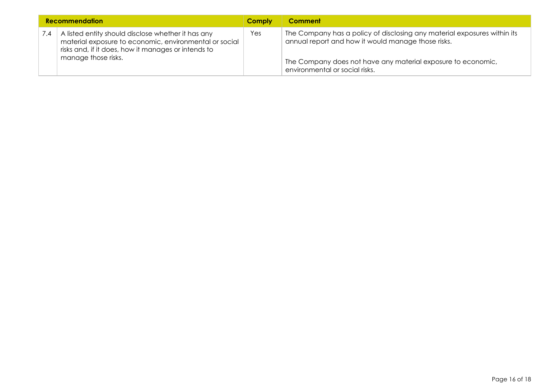| <b>Recommendation</b> |                                                                                                                                                                                            | <b>Comply</b> | Comment                                                                                                                        |
|-----------------------|--------------------------------------------------------------------------------------------------------------------------------------------------------------------------------------------|---------------|--------------------------------------------------------------------------------------------------------------------------------|
| $\sqrt{.4}$           | A listed entity should disclose whether it has any<br>material exposure to economic, environmental or social<br>risks and, if it does, how it manages or intends to<br>manage those risks. | Yes           | The Company has a policy of disclosing any material exposures within its<br>annual report and how it would manage those risks. |
|                       |                                                                                                                                                                                            |               | The Company does not have any material exposure to economic,<br>environmental or social risks.                                 |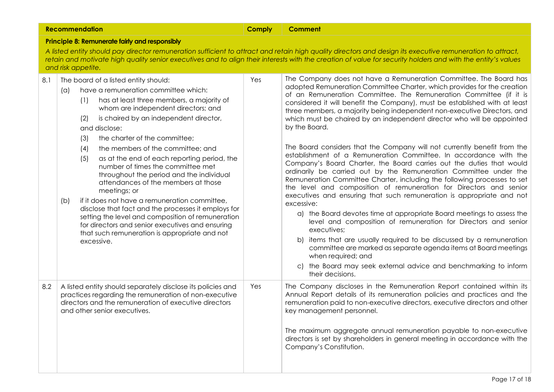|                                                                                                                                                                                                                                                                                                                                                                                                    | <b>Recommendation</b>                                                                                                                                                                                                                                                                                                                                                                                                                                                                                                                                                                                                                                                                                                                                                                                                            | <b>Comply</b> | <b>Comment</b>                                                                                                                                                                                                                                                                                                                                                                                                                                                                                                                                                                                                                                                                                                                                                                                                                                                                                                                                                                                                                                                                                                                                                                                                                                                                                                                                                                                                                       |
|----------------------------------------------------------------------------------------------------------------------------------------------------------------------------------------------------------------------------------------------------------------------------------------------------------------------------------------------------------------------------------------------------|----------------------------------------------------------------------------------------------------------------------------------------------------------------------------------------------------------------------------------------------------------------------------------------------------------------------------------------------------------------------------------------------------------------------------------------------------------------------------------------------------------------------------------------------------------------------------------------------------------------------------------------------------------------------------------------------------------------------------------------------------------------------------------------------------------------------------------|---------------|--------------------------------------------------------------------------------------------------------------------------------------------------------------------------------------------------------------------------------------------------------------------------------------------------------------------------------------------------------------------------------------------------------------------------------------------------------------------------------------------------------------------------------------------------------------------------------------------------------------------------------------------------------------------------------------------------------------------------------------------------------------------------------------------------------------------------------------------------------------------------------------------------------------------------------------------------------------------------------------------------------------------------------------------------------------------------------------------------------------------------------------------------------------------------------------------------------------------------------------------------------------------------------------------------------------------------------------------------------------------------------------------------------------------------------------|
| Principle 8: Remunerate fairly and responsibly<br>A listed entity should pay director remuneration sufficient to attract and retain high quality directors and design its executive remuneration to attract,<br>retain and motivate high quality senior executives and to align their interests with the creation of value for security holders and with the entity's values<br>and risk appetite. |                                                                                                                                                                                                                                                                                                                                                                                                                                                                                                                                                                                                                                                                                                                                                                                                                                  |               |                                                                                                                                                                                                                                                                                                                                                                                                                                                                                                                                                                                                                                                                                                                                                                                                                                                                                                                                                                                                                                                                                                                                                                                                                                                                                                                                                                                                                                      |
| 8.1                                                                                                                                                                                                                                                                                                                                                                                                | The board of a listed entity should:<br>have a remuneration committee which:<br>$(\alpha)$<br>has at least three members, a majority of<br>(1)<br>whom are independent directors; and<br>is chaired by an independent director,<br>(2)<br>and disclose:<br>the charter of the committee;<br>(3)<br>the members of the committee; and<br>(4)<br>(5)<br>as at the end of each reporting period, the<br>number of times the committee met<br>throughout the period and the individual<br>attendances of the members at those<br>meetings; or<br>if it does not have a remuneration committee,<br>(b)<br>disclose that fact and the processes it employs for<br>setting the level and composition of remuneration<br>for directors and senior executives and ensuring<br>that such remuneration is appropriate and not<br>excessive. | Yes           | The Company does not have a Remuneration Committee. The Board has<br>adopted Remuneration Committee Charter, which provides for the creation<br>of an Remuneration Committee. The Remuneration Committee (if it is<br>considered it will benefit the Company), must be established with at least<br>three members, a majority being independent non-executive Directors, and<br>which must be chaired by an independent director who will be appointed<br>by the Board.<br>The Board considers that the Company will not currently benefit from the<br>establishment of a Remuneration Committee. In accordance with the<br>Company's Board Charter, the Board carries out the duties that would<br>ordinarily be carried out by the Remuneration Committee under the<br>Remuneration Committee Charter, including the following processes to set<br>the level and composition of remuneration for Directors and senior<br>executives and ensuring that such remuneration is appropriate and not<br>excessive:<br>a) the Board devotes time at appropriate Board meetings to assess the<br>level and composition of remuneration for Directors and senior<br>executives;<br>b) items that are usually required to be discussed by a remuneration<br>committee are marked as separate agenda items at Board meetings<br>when required; and<br>the Board may seek external advice and benchmarking to inform<br>C)<br>their decisions. |
| 8.2                                                                                                                                                                                                                                                                                                                                                                                                | A listed entity should separately disclose its policies and<br>practices regarding the remuneration of non-executive<br>directors and the remuneration of executive directors<br>and other senior executives.                                                                                                                                                                                                                                                                                                                                                                                                                                                                                                                                                                                                                    | Yes           | The Company discloses in the Remuneration Report contained within its<br>Annual Report details of its remuneration policies and practices and the<br>remuneration paid to non-executive directors, executive directors and other<br>key management personnel.<br>The maximum aggregate annual remuneration payable to non-executive<br>directors is set by shareholders in general meeting in accordance with the<br>Company's Constitution.                                                                                                                                                                                                                                                                                                                                                                                                                                                                                                                                                                                                                                                                                                                                                                                                                                                                                                                                                                                         |